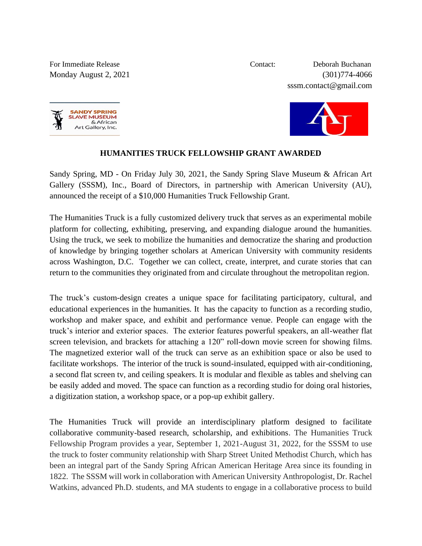For Immediate Release Contact: Deborah Buchanan Monday August 2, 2021 (301)774-4066 sssm.contact@gmail.com





## **HUMANITIES TRUCK FELLOWSHIP GRANT AWARDED**

Sandy Spring, MD - On Friday July 30, 2021, the Sandy Spring Slave Museum & African Art Gallery (SSSM), Inc., Board of Directors, in partnership with American University (AU), announced the receipt of a \$10,000 Humanities Truck Fellowship Grant.

The Humanities Truck is a fully customized delivery truck that serves as an experimental mobile platform for collecting, exhibiting, preserving, and expanding dialogue around the humanities. Using the truck, we seek to mobilize the humanities and democratize the sharing and production of knowledge by bringing together scholars at American University with community residents across Washington, D.C. Together we can collect, create, interpret, and curate stories that can return to the communities they originated from and circulate throughout the metropolitan region.

The truck's custom-design creates a unique space for facilitating participatory, cultural, and educational experiences in the humanities. It has the capacity to function as a recording studio, workshop and maker space, and exhibit and performance venue. People can engage with the truck's interior and exterior spaces. The exterior features powerful speakers, an all-weather flat screen television, and brackets for attaching a 120" roll-down movie screen for showing films. The magnetized exterior wall of the truck can serve as an exhibition space or also be used to facilitate workshops. The interior of the truck is sound-insulated, equipped with air-conditioning, a second flat screen tv, and ceiling speakers. It is modular and flexible as tables and shelving can be easily added and moved. The space can function as a recording studio for doing oral histories, a digitization station, a workshop space, or a pop-up exhibit gallery.

The Humanities Truck will provide an interdisciplinary platform designed to facilitate collaborative community-based research, scholarship, and exhibitions. The Humanities Truck Fellowship Program provides a year, September 1, 2021-August 31, 2022, for the SSSM to use the truck to foster community relationship with Sharp Street United Methodist Church, which has been an integral part of the Sandy Spring African American Heritage Area since its founding in 1822. The SSSM will work in collaboration with American University Anthropologist, Dr. Rachel Watkins, advanced Ph.D. students, and MA students to engage in a collaborative process to build